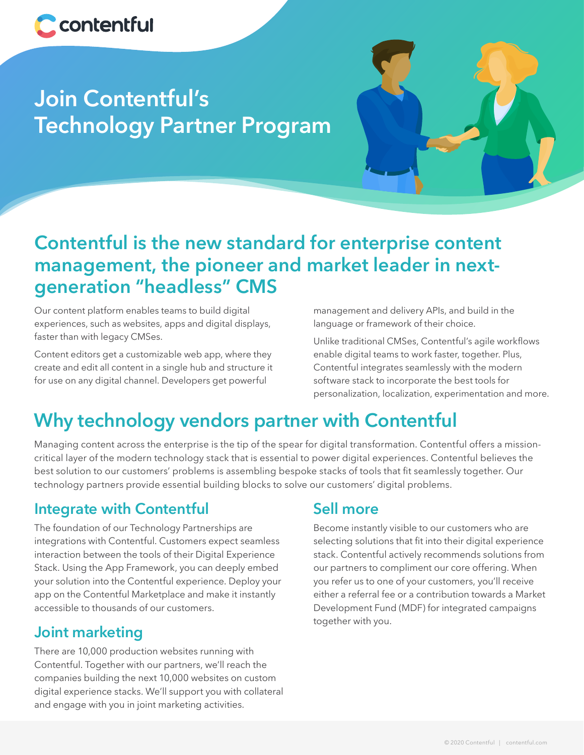

# **Join Contentful's Technology Partner Program**



## **Contentful is the new standard for enterprise content management, the pioneer and market leader in nextgeneration "headless" CMS**

Our content platform enables teams to build digital experiences, such as websites, apps and digital displays, faster than with legacy CMSes.

Content editors get a customizable web app, where they create and edit all content in a single hub and structure it for use on any digital channel. Developers get powerful

management and delivery APIs, and build in the language or framework of their choice.

Unlike traditional CMSes, Contentful's agile workflows enable digital teams to work faster, together. Plus, Contentful integrates seamlessly with the modern software stack to incorporate the best tools for personalization, localization, experimentation and more.

## **Why technology vendors partner with Contentful**

Managing content across the enterprise is the tip of the spear for digital transformation. Contentful offers a missioncritical layer of the modern technology stack that is essential to power digital experiences. Contentful believes the best solution to our customers' problems is assembling bespoke stacks of tools that fit seamlessly together. Our technology partners provide essential building blocks to solve our customers' digital problems.

## **Integrate with Contentful**

The foundation of our Technology Partnerships are integrations with Contentful. Customers expect seamless interaction between the tools of their Digital Experience Stack. Using the App Framework, you can deeply embed your solution into the Contentful experience. Deploy your app on the Contentful Marketplace and make it instantly accessible to thousands of our customers.

## **Joint marketing**

There are 10,000 production websites running with Contentful. Together with our partners, we'll reach the companies building the next 10,000 websites on custom digital experience stacks. We'll support you with collateral and engage with you in joint marketing activities.

## **Sell more**

Become instantly visible to our customers who are selecting solutions that fit into their digital experience stack. Contentful actively recommends solutions from our partners to compliment our core offering. When you refer us to one of your customers, you'll receive either a referral fee or a contribution towards a Market Development Fund (MDF) for integrated campaigns together with you.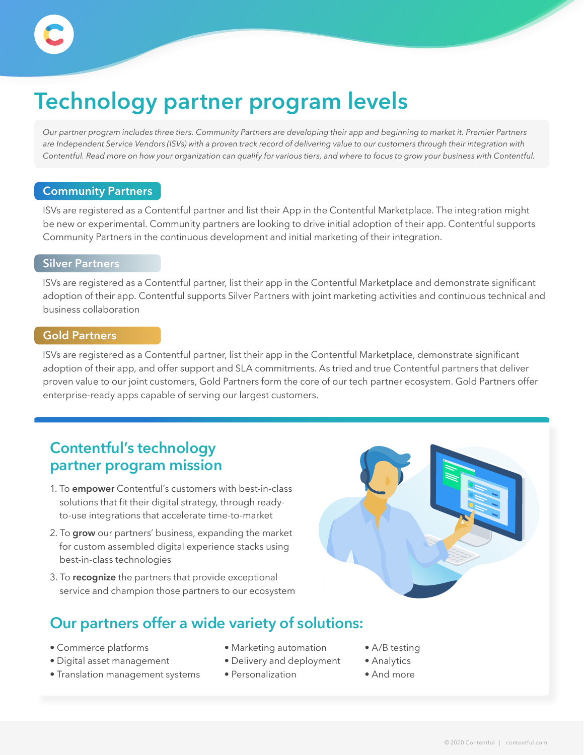# **Technology partner program levels**

*Our partner program includes three tiers. Community Partners are developing their app and beginning to market it. Premier Partners*  are Independent Service Vendors (ISVs) with a proven track record of delivering value to our customers through their integration with *Contentful. Read more on how your organization can qualify for various tiers, and where to focus to grow your business with Contentful.*

### **Community Partners**

ISVs are registered as a Contentful partner and list their App in the Contentful Marketplace. The integration might be new or experimental. Community partners are looking to drive initial adoption of their app. Contentful supports Community Partners in the continuous development and initial marketing of their integration.

#### **Silver Partners**

ISVs are registered as a Contentful partner, list their app in the Contentful Marketplace and demonstrate significant adoption of their app. Contentful supports Silver Partners with joint marketing activities and continuous technical and business collaboration

#### **Gold Partners**

ISVs are registered as a Contentful partner, list their app in the Contentful Marketplace, demonstrate significant adoption of their app, and offer support and SLA commitments. As tried and true Contentful partners that deliver proven value to our joint customers, Gold Partners form the core of our tech partner ecosystem. Gold Partners offer enterprise-ready apps capable of serving our largest customers.

## **Contentful's technology partner program mission**

- 1. To **empower** Contentful's customers with best-in-class solutions that fit their digital strategy, through readyto-use integrations that accelerate time-to-market
- 2. To **grow** our partners' business, expanding the market for custom assembled digital experience stacks using best-in-class technologies
- 3. To **recognize** the partners that provide exceptional service and champion those partners to our ecosystem

## **Our partners offer a wide variety of solutions:**

- Commerce platforms
- Digital asset management
- Translation management systems
- Marketing automation
- Delivery and deployment
- Personalization
- A/B testing
- Analytics
- And more